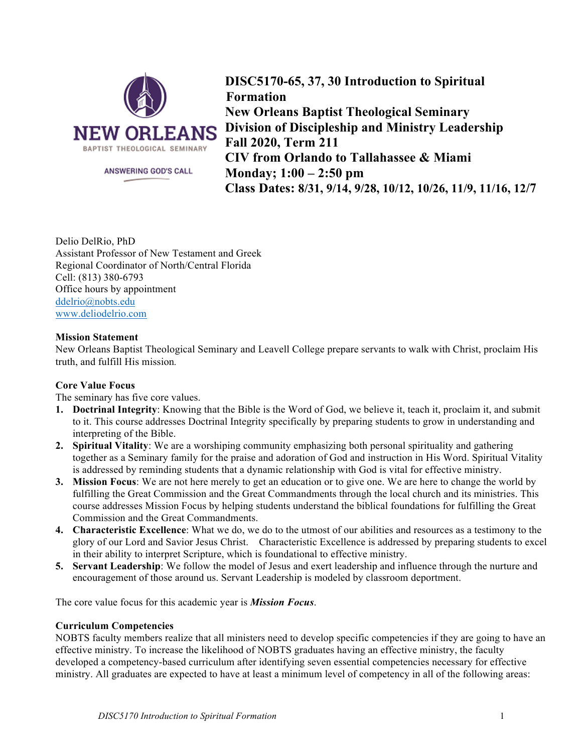

**DISC5170-65, 37, 30 Introduction to Spiritual Formation New Orleans Baptist Theological Seminary Division of Discipleship and Ministry Leadership Fall 2020, Term 211 CIV from Orlando to Tallahassee & Miami Monday; 1:00 – 2:50 pm Class Dates: 8/31, 9/14, 9/28, 10/12, 10/26, 11/9, 11/16, 12/7**

Delio DelRio, PhD Assistant Professor of New Testament and Greek Regional Coordinator of North/Central Florida Cell: (813) 380-6793 Office hours by appointment ddelrio@nobts.edu www.deliodelrio.com

## **Mission Statement**

New Orleans Baptist Theological Seminary and Leavell College prepare servants to walk with Christ, proclaim His truth, and fulfill His mission*.*

# **Core Value Focus**

The seminary has five core values.

- **1. Doctrinal Integrity**: Knowing that the Bible is the Word of God, we believe it, teach it, proclaim it, and submit to it. This course addresses Doctrinal Integrity specifically by preparing students to grow in understanding and interpreting of the Bible.
- **2. Spiritual Vitality**: We are a worshiping community emphasizing both personal spirituality and gathering together as a Seminary family for the praise and adoration of God and instruction in His Word. Spiritual Vitality is addressed by reminding students that a dynamic relationship with God is vital for effective ministry.
- **3. Mission Focus**: We are not here merely to get an education or to give one. We are here to change the world by fulfilling the Great Commission and the Great Commandments through the local church and its ministries. This course addresses Mission Focus by helping students understand the biblical foundations for fulfilling the Great Commission and the Great Commandments.
- **4. Characteristic Excellence**: What we do, we do to the utmost of our abilities and resources as a testimony to the glory of our Lord and Savior Jesus Christ. Characteristic Excellence is addressed by preparing students to excel in their ability to interpret Scripture, which is foundational to effective ministry.
- **5. Servant Leadership**: We follow the model of Jesus and exert leadership and influence through the nurture and encouragement of those around us. Servant Leadership is modeled by classroom deportment.

The core value focus for this academic year is *Mission Focus*.

### **Curriculum Competencies**

NOBTS faculty members realize that all ministers need to develop specific competencies if they are going to have an effective ministry. To increase the likelihood of NOBTS graduates having an effective ministry, the faculty developed a competency-based curriculum after identifying seven essential competencies necessary for effective ministry. All graduates are expected to have at least a minimum level of competency in all of the following areas: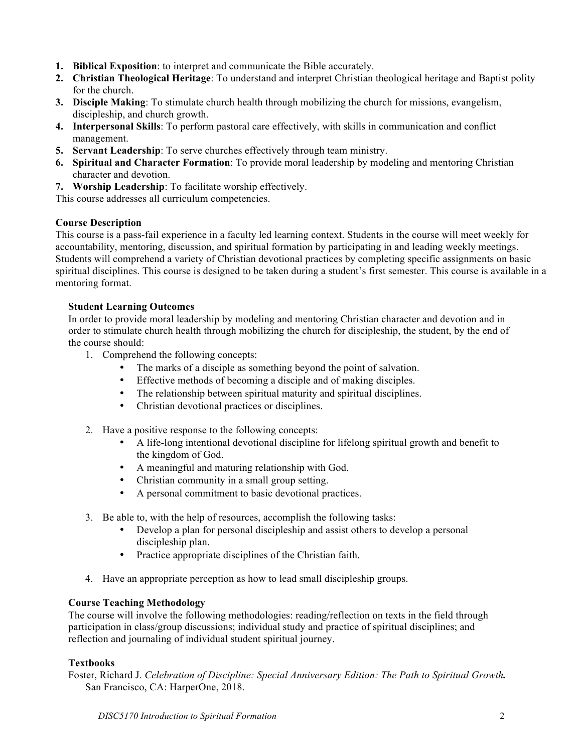- **1. Biblical Exposition**: to interpret and communicate the Bible accurately.
- **2. Christian Theological Heritage**: To understand and interpret Christian theological heritage and Baptist polity for the church.
- **3. Disciple Making**: To stimulate church health through mobilizing the church for missions, evangelism, discipleship, and church growth.
- **4. Interpersonal Skills**: To perform pastoral care effectively, with skills in communication and conflict management.
- **5. Servant Leadership**: To serve churches effectively through team ministry.
- **6. Spiritual and Character Formation**: To provide moral leadership by modeling and mentoring Christian character and devotion.
- **7. Worship Leadership**: To facilitate worship effectively.

This course addresses all curriculum competencies.

## **Course Description**

This course is a pass-fail experience in a faculty led learning context. Students in the course will meet weekly for accountability, mentoring, discussion, and spiritual formation by participating in and leading weekly meetings. Students will comprehend a variety of Christian devotional practices by completing specific assignments on basic spiritual disciplines. This course is designed to be taken during a student's first semester. This course is available in a mentoring format.

## **Student Learning Outcomes**

In order to provide moral leadership by modeling and mentoring Christian character and devotion and in order to stimulate church health through mobilizing the church for discipleship, the student, by the end of the course should:

- 1. Comprehend the following concepts:
	- The marks of a disciple as something beyond the point of salvation.
	- Effective methods of becoming a disciple and of making disciples.
	- The relationship between spiritual maturity and spiritual disciplines.
	- Christian devotional practices or disciplines.
- 2. Have a positive response to the following concepts:
	- A life-long intentional devotional discipline for lifelong spiritual growth and benefit to the kingdom of God.
	- A meaningful and maturing relationship with God.
	- Christian community in a small group setting.
	- A personal commitment to basic devotional practices.
- 3. Be able to, with the help of resources, accomplish the following tasks:
	- Develop a plan for personal discipleship and assist others to develop a personal discipleship plan.
	- Practice appropriate disciplines of the Christian faith.
- 4. Have an appropriate perception as how to lead small discipleship groups.

# **Course Teaching Methodology**

The course will involve the following methodologies: reading/reflection on texts in the field through participation in class/group discussions; individual study and practice of spiritual disciplines; and reflection and journaling of individual student spiritual journey.

### **Textbooks**

Foster, Richard J. *Celebration of Discipline: Special Anniversary Edition: The Path to Spiritual Growth.* San Francisco, CA: HarperOne, 2018.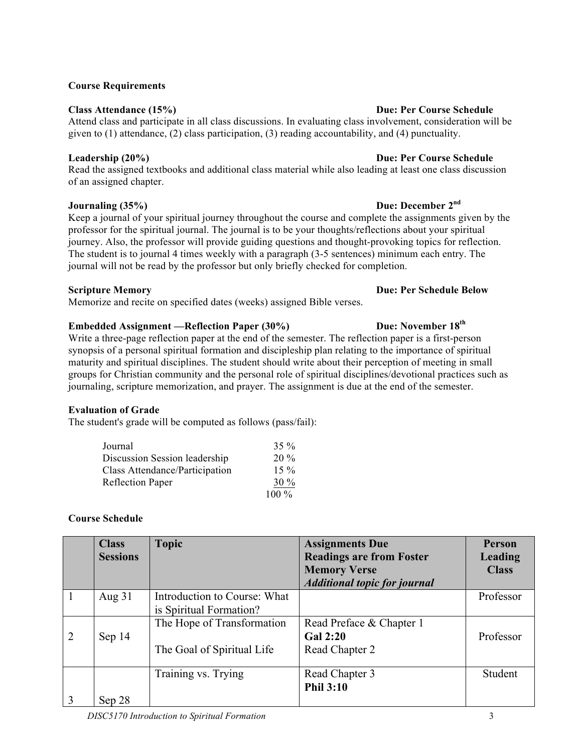### **Course Requirements**

## **Class Attendance (15%) Due: Per Course Schedule**

Attend class and participate in all class discussions. In evaluating class involvement, consideration will be given to  $(1)$  attendance,  $(2)$  class participation,  $(3)$  reading accountability, and  $(4)$  punctuality.

Read the assigned textbooks and additional class material while also leading at least one class discussion of an assigned chapter.

# **Journaling (35%) Due: December 2nd**

Keep a journal of your spiritual journey throughout the course and complete the assignments given by the professor for the spiritual journal. The journal is to be your thoughts/reflections about your spiritual journey. Also, the professor will provide guiding questions and thought-provoking topics for reflection. The student is to journal 4 times weekly with a paragraph (3-5 sentences) minimum each entry. The journal will not be read by the professor but only briefly checked for completion.

# **Scripture Memory Due: Per Schedule Below**

Memorize and recite on specified dates (weeks) assigned Bible verses.

# **Embedded Assignment** — Reflection Paper (30%) Due: November 18<sup>th</sup>

Write a three-page reflection paper at the end of the semester. The reflection paper is a first-person synopsis of a personal spiritual formation and discipleship plan relating to the importance of spiritual maturity and spiritual disciplines. The student should write about their perception of meeting in small groups for Christian community and the personal role of spiritual disciplines/devotional practices such as journaling, scripture memorization, and prayer. The assignment is due at the end of the semester.

# **Evaluation of Grade**

The student's grade will be computed as follows (pass/fail):

| Journal                        | $35\%$  |
|--------------------------------|---------|
| Discussion Session leadership  | $20\%$  |
| Class Attendance/Participation | $15\%$  |
| <b>Reflection Paper</b>        | $30\%$  |
|                                | $100\%$ |

# **Course Schedule**

|   | <b>Class</b><br><b>Sessions</b> | <b>Topic</b>                 | <b>Assignments Due</b><br><b>Readings are from Foster</b><br><b>Memory Verse</b> | <b>Person</b><br><b>Leading</b><br><b>Class</b> |
|---|---------------------------------|------------------------------|----------------------------------------------------------------------------------|-------------------------------------------------|
|   |                                 | Introduction to Course: What | <b>Additional topic for journal</b>                                              | Professor                                       |
|   | Aug $31$                        | is Spiritual Formation?      |                                                                                  |                                                 |
|   |                                 | The Hope of Transformation   | Read Preface & Chapter 1                                                         |                                                 |
| 2 | Sep 14                          |                              | <b>Gal 2:20</b>                                                                  | Professor                                       |
|   |                                 | The Goal of Spiritual Life   | Read Chapter 2                                                                   |                                                 |
|   |                                 | Training vs. Trying          | Read Chapter 3                                                                   | Student                                         |
|   |                                 |                              | <b>Phil 3:10</b>                                                                 |                                                 |
|   | Sep 28                          |                              |                                                                                  |                                                 |

### **Leadership (20%) Due: Per Course Schedule**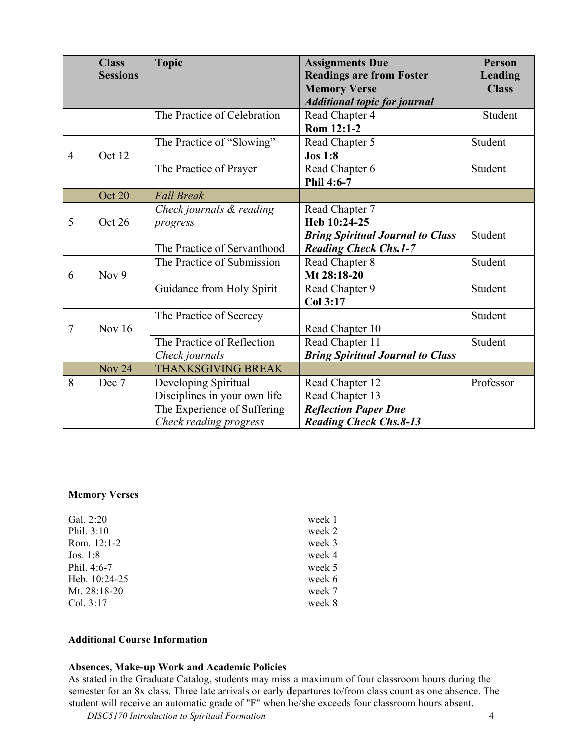|                | <b>Class</b><br><b>Sessions</b> | <b>Topic</b>                                                                                                  | <b>Assignments Due</b><br><b>Readings are from Foster</b><br><b>Memory Verse</b><br><b>Additional topic for journal</b> | <b>Person</b><br><b>Leading</b><br><b>Class</b> |
|----------------|---------------------------------|---------------------------------------------------------------------------------------------------------------|-------------------------------------------------------------------------------------------------------------------------|-------------------------------------------------|
|                |                                 | The Practice of Celebration                                                                                   | Read Chapter 4<br>Rom 12:1-2                                                                                            | Student                                         |
| $\overline{4}$ | Oct 12                          | The Practice of "Slowing"                                                                                     | Read Chapter 5<br><b>Jos 1:8</b>                                                                                        | Student                                         |
|                |                                 | The Practice of Prayer                                                                                        | Read Chapter 6<br>Phil 4:6-7                                                                                            | Student                                         |
|                | Oct 20                          | <b>Fall Break</b>                                                                                             |                                                                                                                         |                                                 |
| 5              | Oct 26                          | Check journals & reading<br>progress<br>The Practice of Servanthood                                           | Read Chapter 7<br>Heb 10:24-25<br><b>Bring Spiritual Journal to Class</b><br><b>Reading Check Chs.1-7</b>               | Student                                         |
| 6              | Nov 9                           | The Practice of Submission                                                                                    | Read Chapter 8<br>Mt 28:18-20                                                                                           | Student                                         |
|                |                                 | Guidance from Holy Spirit                                                                                     | Read Chapter 9<br>Col 3:17                                                                                              | Student                                         |
| $\overline{7}$ | <b>Nov 16</b>                   | The Practice of Secrecy                                                                                       | Read Chapter 10                                                                                                         | Student                                         |
|                |                                 | The Practice of Reflection<br>Check journals                                                                  | Read Chapter 11<br><b>Bring Spiritual Journal to Class</b>                                                              | Student                                         |
|                | <b>Nov 24</b>                   | <b>THANKSGIVING BREAK</b>                                                                                     |                                                                                                                         |                                                 |
| 8              | Dec 7                           | Developing Spiritual<br>Disciplines in your own life<br>The Experience of Suffering<br>Check reading progress | Read Chapter 12<br>Read Chapter 13<br><b>Reflection Paper Due</b><br><b>Reading Check Chs.8-13</b>                      | Professor                                       |

### **Memory Verses**

| Gal. $2:20$    | week 1 |
|----------------|--------|
| Phil. $3:10$   | week 2 |
| Rom. $12:1-2$  | week 3 |
| Jos. $1:8$     | week 4 |
| Phil. 4:6-7    | week 5 |
| Heb. 10:24-25  | week 6 |
| Mt. $28:18-20$ | week 7 |
| Col. 3:17      | week 8 |

### **Additional Course Information**

### **Absences, Make-up Work and Academic Policies**

As stated in the Graduate Catalog, students may miss a maximum of four classroom hours during the semester for an 8x class. Three late arrivals or early departures to/from class count as one absence. The student will receive an automatic grade of "F" when he/she exceeds four classroom hours absent.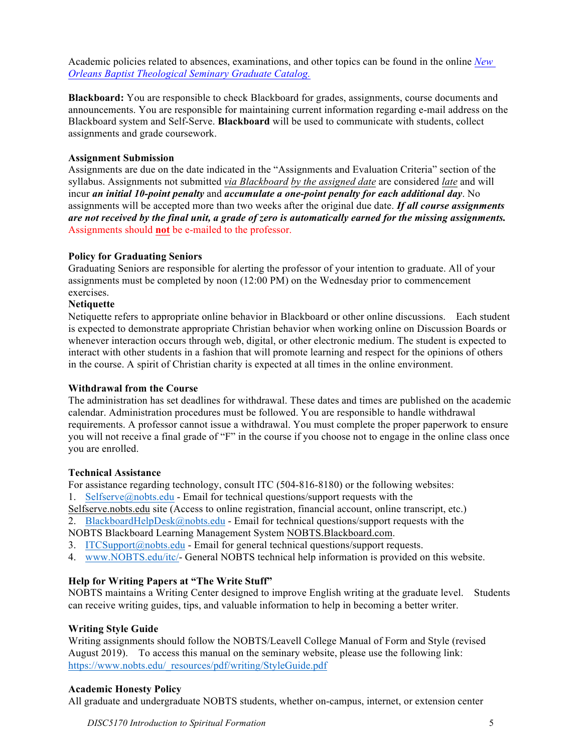Academic policies related to absences, examinations, and other topics can be found in the online *New Orleans Baptist Theological Seminary Graduate Catalog.*

**Blackboard:** You are responsible to check Blackboard for grades, assignments, course documents and announcements. You are responsible for maintaining current information regarding e-mail address on the Blackboard system and Self-Serve. **Blackboard** will be used to communicate with students, collect assignments and grade coursework.

### **Assignment Submission**

Assignments are due on the date indicated in the "Assignments and Evaluation Criteria" section of the syllabus. Assignments not submitted *via Blackboard by the assigned date* are considered *late* and will incur *an initial 10-point penalty* and *accumulate a one-point penalty for each additional day*. No assignments will be accepted more than two weeks after the original due date. *If all course assignments are not received by the final unit, a grade of zero is automatically earned for the missing assignments.* Assignments should **not** be e-mailed to the professor.

## **Policy for Graduating Seniors**

Graduating Seniors are responsible for alerting the professor of your intention to graduate. All of your assignments must be completed by noon (12:00 PM) on the Wednesday prior to commencement exercises.

# **Netiquette**

Netiquette refers to appropriate online behavior in Blackboard or other online discussions. Each student is expected to demonstrate appropriate Christian behavior when working online on Discussion Boards or whenever interaction occurs through web, digital, or other electronic medium. The student is expected to interact with other students in a fashion that will promote learning and respect for the opinions of others in the course. A spirit of Christian charity is expected at all times in the online environment.

### **Withdrawal from the Course**

The administration has set deadlines for withdrawal. These dates and times are published on the academic calendar. Administration procedures must be followed. You are responsible to handle withdrawal requirements. A professor cannot issue a withdrawal. You must complete the proper paperwork to ensure you will not receive a final grade of "F" in the course if you choose not to engage in the online class once you are enrolled.

### **Technical Assistance**

For assistance regarding technology, consult ITC (504-816-8180) or the following websites:

1. Selfserve@nobts.edu - Email for technical questions/support requests with the

Selfserve.nobts.edu site (Access to online registration, financial account, online transcript, etc.)

2. BlackboardHelpDesk@nobts.edu - Email for technical questions/support requests with the

NOBTS Blackboard Learning Management System NOBTS.Blackboard.com.

- 3. ITCSupport@nobts.edu Email for general technical questions/support requests.
- 4. www.NOBTS.edu/itc/- General NOBTS technical help information is provided on this website.

# **Help for Writing Papers at "The Write Stuff"**

NOBTS maintains a Writing Center designed to improve English writing at the graduate level. Students can receive writing guides, tips, and valuable information to help in becoming a better writer.

# **Writing Style Guide**

Writing assignments should follow the NOBTS/Leavell College Manual of Form and Style (revised August 2019). To access this manual on the seminary website, please use the following link: https://www.nobts.edu/\_resources/pdf/writing/StyleGuide.pdf

# **Academic Honesty Policy**

All graduate and undergraduate NOBTS students, whether on-campus, internet, or extension center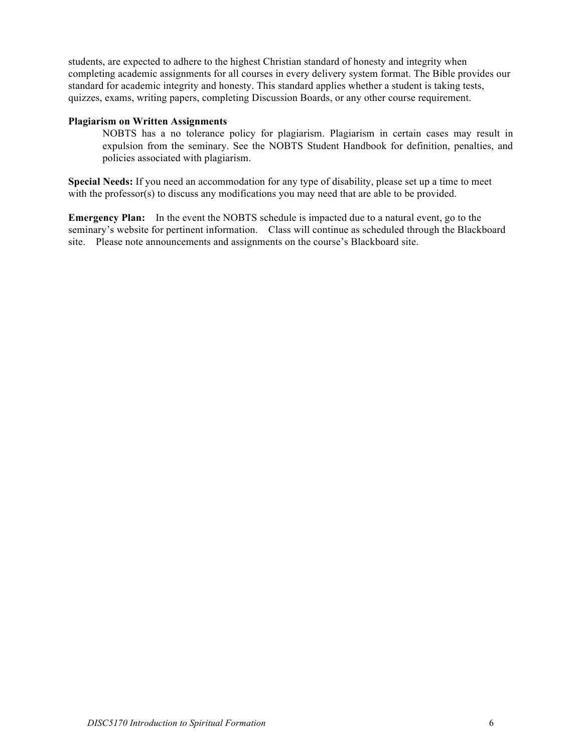students, are expected to adhere to the highest Christian standard of honesty and integrity when completing academic assignments for all courses in every delivery system format. The Bible provides our standard for academic integrity and honesty. This standard applies whether a student is taking tests, quizzes, exams, writing papers, completing Discussion Boards, or any other course requirement.

### **Plagiarism on Written Assignments**

NOBTS has a no tolerance policy for plagiarism. Plagiarism in certain cases may result in expulsion from the seminary. See the NOBTS Student Handbook for definition, penalties, and policies associated with plagiarism.

**Special Needs:** If you need an accommodation for any type of disability, please set up a time to meet with the professor(s) to discuss any modifications you may need that are able to be provided.

**Emergency Plan:** In the event the NOBTS schedule is impacted due to a natural event, go to the seminary's website for pertinent information. Class will continue as scheduled through the Blackboard site. Please note announcements and assignments on the course's Blackboard site.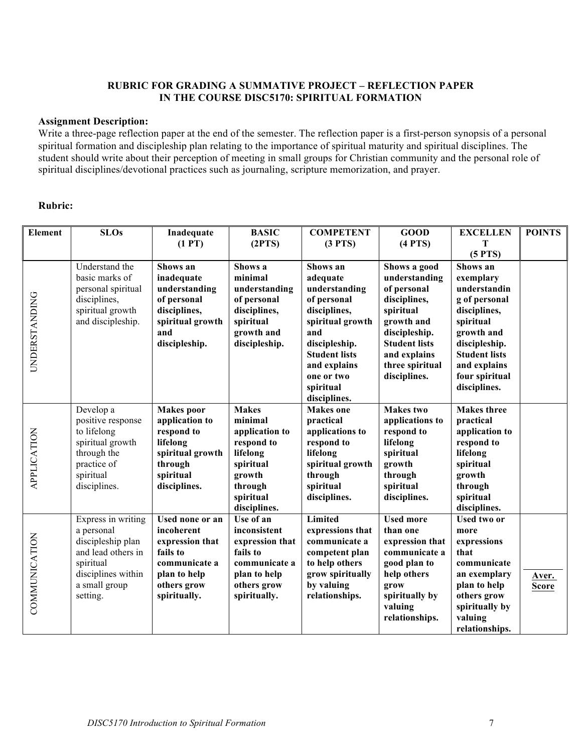### **RUBRIC FOR GRADING A SUMMATIVE PROJECT – REFLECTION PAPER IN THE COURSE DISC5170: SPIRITUAL FORMATION**

### **Assignment Description:**

Write a three-page reflection paper at the end of the semester. The reflection paper is a first-person synopsis of a personal spiritual formation and discipleship plan relating to the importance of spiritual maturity and spiritual disciplines. The student should write about their perception of meeting in small groups for Christian community and the personal role of spiritual disciplines/devotional practices such as journaling, scripture memorization, and prayer.

# **Rubric:**

| Element            | <b>SLOs</b>                                                                                                                                 | Inadequate<br>(1 PT)                                                                                                                | <b>BASIC</b><br>(2PTS)                                                                                                             | <b>COMPETENT</b><br>(3 PTS)                                                                                                                                                                         | <b>GOOD</b><br>$(4$ PTS $)$                                                                                                                                                         | <b>EXCELLEN</b><br>Т                                                                                                                                                                                    | <b>POINTS</b>         |
|--------------------|---------------------------------------------------------------------------------------------------------------------------------------------|-------------------------------------------------------------------------------------------------------------------------------------|------------------------------------------------------------------------------------------------------------------------------------|-----------------------------------------------------------------------------------------------------------------------------------------------------------------------------------------------------|-------------------------------------------------------------------------------------------------------------------------------------------------------------------------------------|---------------------------------------------------------------------------------------------------------------------------------------------------------------------------------------------------------|-----------------------|
| UNDERSTANDING      | Understand the<br>basic marks of<br>personal spiritual<br>disciplines,<br>spiritual growth<br>and discipleship.                             | Shows an<br>inadequate<br>understanding<br>of personal<br>disciplines,<br>spiritual growth<br>and<br>discipleship.                  | Shows a<br>minimal<br>understanding<br>of personal<br>disciplines,<br>spiritual<br>growth and<br>discipleship.                     | Shows an<br>adequate<br>understanding<br>of personal<br>disciplines,<br>spiritual growth<br>and<br>discipleship.<br><b>Student lists</b><br>and explains<br>one or two<br>spiritual<br>disciplines. | Shows a good<br>understanding<br>of personal<br>disciplines,<br>spiritual<br>growth and<br>discipleship.<br><b>Student lists</b><br>and explains<br>three spiritual<br>disciplines. | (5 PTS)<br>Shows an<br>exemplary<br>understandin<br>g of personal<br>disciplines,<br>spiritual<br>growth and<br>discipleship.<br><b>Student lists</b><br>and explains<br>four spiritual<br>disciplines. |                       |
| <b>APPLICATION</b> | Develop a<br>positive response<br>to lifelong<br>spiritual growth<br>through the<br>practice of<br>spiritual<br>disciplines.                | <b>Makes</b> poor<br>application to<br>respond to<br>lifelong<br>spiritual growth<br>through<br>spiritual<br>disciplines.           | <b>Makes</b><br>minimal<br>application to<br>respond to<br>lifelong<br>spiritual<br>growth<br>through<br>spiritual<br>disciplines. | <b>Makes</b> one<br>practical<br>applications to<br>respond to<br>lifelong<br>spiritual growth<br>through<br>spiritual<br>disciplines.                                                              | <b>Makes</b> two<br>applications to<br>respond to<br>lifelong<br>spiritual<br>growth<br>through<br>spiritual<br>disciplines.                                                        | <b>Makes</b> three<br>practical<br>application to<br>respond to<br>lifelong<br>spiritual<br>growth<br>through<br>spiritual<br>disciplines.                                                              |                       |
| COMMUNICATION      | Express in writing<br>a personal<br>discipleship plan<br>and lead others in<br>spiritual<br>disciplines within<br>a small group<br>setting. | <b>Used none or an</b><br>incoherent<br>expression that<br>fails to<br>communicate a<br>plan to help<br>others grow<br>spiritually. | Use of an<br>inconsistent<br>expression that<br>fails to<br>communicate a<br>plan to help<br>others grow<br>spiritually.           | Limited<br>expressions that<br>communicate a<br>competent plan<br>to help others<br>grow spiritually<br>by valuing<br>relationships.                                                                | <b>Used more</b><br>than one<br>expression that<br>communicate a<br>good plan to<br>help others<br>grow<br>spiritually by<br>valuing<br>relationships.                              | <b>Used two or</b><br>more<br>expressions<br>that<br>communicate<br>an exemplary<br>plan to help<br>others grow<br>spiritually by<br>valuing<br>relationships.                                          | Aver.<br><b>Score</b> |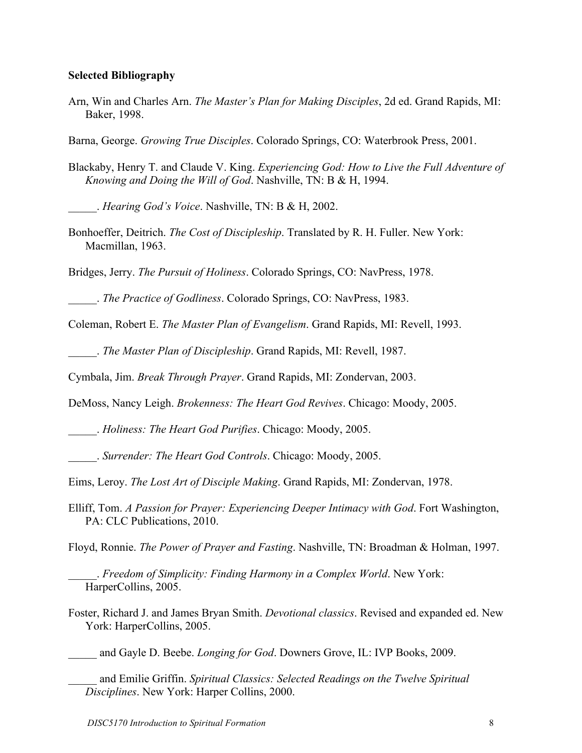# **Selected Bibliography**

Arn, Win and Charles Arn. *The Master's Plan for Making Disciples*, 2d ed. Grand Rapids, MI: Baker, 1998.

Barna, George. *Growing True Disciples*. Colorado Springs, CO: Waterbrook Press, 2001.

Blackaby, Henry T. and Claude V. King. *Experiencing God: How to Live the Full Adventure of Knowing and Doing the Will of God*. Nashville, TN: B & H, 1994.

\_\_\_\_\_. *Hearing God's Voice*. Nashville, TN: B & H, 2002.

Bonhoeffer, Deitrich. *The Cost of Discipleship*. Translated by R. H. Fuller. New York: Macmillan, 1963.

Bridges, Jerry. *The Pursuit of Holiness*. Colorado Springs, CO: NavPress, 1978.

\_\_\_\_\_. *The Practice of Godliness*. Colorado Springs, CO: NavPress, 1983.

Coleman, Robert E. *The Master Plan of Evangelism*. Grand Rapids, MI: Revell, 1993.

\_\_\_\_\_. *The Master Plan of Discipleship*. Grand Rapids, MI: Revell, 1987.

Cymbala, Jim. *Break Through Prayer*. Grand Rapids, MI: Zondervan, 2003.

DeMoss, Nancy Leigh. *Brokenness: The Heart God Revives*. Chicago: Moody, 2005.

\_\_\_\_\_. *Holiness: The Heart God Purifies*. Chicago: Moody, 2005.

\_\_\_\_\_. *Surrender: The Heart God Controls*. Chicago: Moody, 2005.

Eims, Leroy. *The Lost Art of Disciple Making*. Grand Rapids, MI: Zondervan, 1978.

Elliff, Tom. *A Passion for Prayer: Experiencing Deeper Intimacy with God*. Fort Washington, PA: CLC Publications, 2010.

Floyd, Ronnie. *The Power of Prayer and Fasting*. Nashville, TN: Broadman & Holman, 1997.

\_\_\_\_\_. *Freedom of Simplicity: Finding Harmony in a Complex World*. New York: HarperCollins, 2005.

Foster, Richard J. and James Bryan Smith. *Devotional classics*. Revised and expanded ed. New York: HarperCollins, 2005.

\_\_\_\_\_ and Gayle D. Beebe. *Longing for God*. Downers Grove, IL: IVP Books, 2009.

\_\_\_\_\_ and Emilie Griffin. *Spiritual Classics: Selected Readings on the Twelve Spiritual Disciplines*. New York: Harper Collins, 2000.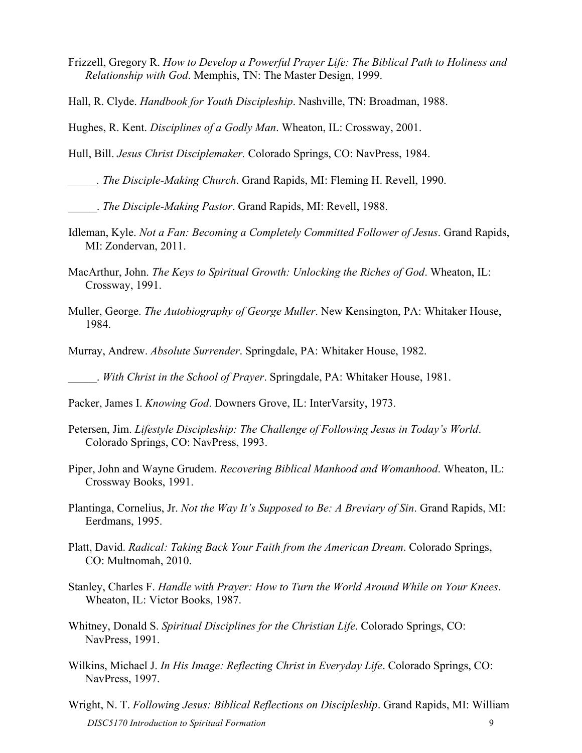- Frizzell, Gregory R. *How to Develop a Powerful Prayer Life: The Biblical Path to Holiness and Relationship with God*. Memphis, TN: The Master Design, 1999.
- Hall, R. Clyde. *Handbook for Youth Discipleship*. Nashville, TN: Broadman, 1988.

Hughes, R. Kent. *Disciplines of a Godly Man*. Wheaton, IL: Crossway, 2001.

Hull, Bill. *Jesus Christ Disciplemaker.* Colorado Springs, CO: NavPress, 1984.

*\_\_\_\_\_. The Disciple-Making Church*. Grand Rapids, MI: Fleming H. Revell, 1990.

\_\_\_\_\_. *The Disciple-Making Pastor*. Grand Rapids, MI: Revell, 1988.

- Idleman, Kyle. *Not a Fan: Becoming a Completely Committed Follower of Jesus*. Grand Rapids, MI: Zondervan, 2011.
- MacArthur, John. *The Keys to Spiritual Growth: Unlocking the Riches of God*. Wheaton, IL: Crossway, 1991.
- Muller, George. *The Autobiography of George Muller*. New Kensington, PA: Whitaker House, 1984.
- Murray, Andrew. *Absolute Surrender*. Springdale, PA: Whitaker House, 1982.

\_\_\_\_\_. *With Christ in the School of Prayer*. Springdale, PA: Whitaker House, 1981.

- Petersen, Jim. *Lifestyle Discipleship: The Challenge of Following Jesus in Today's World*. Colorado Springs, CO: NavPress, 1993.
- Piper, John and Wayne Grudem. *Recovering Biblical Manhood and Womanhood*. Wheaton, IL: Crossway Books, 1991.
- Plantinga, Cornelius, Jr. *Not the Way It's Supposed to Be: A Breviary of Sin*. Grand Rapids, MI: Eerdmans, 1995.
- Platt, David. *Radical: Taking Back Your Faith from the American Dream*. Colorado Springs, CO: Multnomah, 2010.
- Stanley, Charles F. *Handle with Prayer: How to Turn the World Around While on Your Knees*. Wheaton, IL: Victor Books, 1987.
- Whitney, Donald S. *Spiritual Disciplines for the Christian Life*. Colorado Springs, CO: NavPress, 1991.
- Wilkins, Michael J. *In His Image: Reflecting Christ in Everyday Life*. Colorado Springs, CO: NavPress, 1997.
- *DISC5170 Introduction to Spiritual Formation* 9 Wright, N. T. *Following Jesus: Biblical Reflections on Discipleship*. Grand Rapids, MI: William

Packer, James I. *Knowing God*. Downers Grove, IL: InterVarsity, 1973.